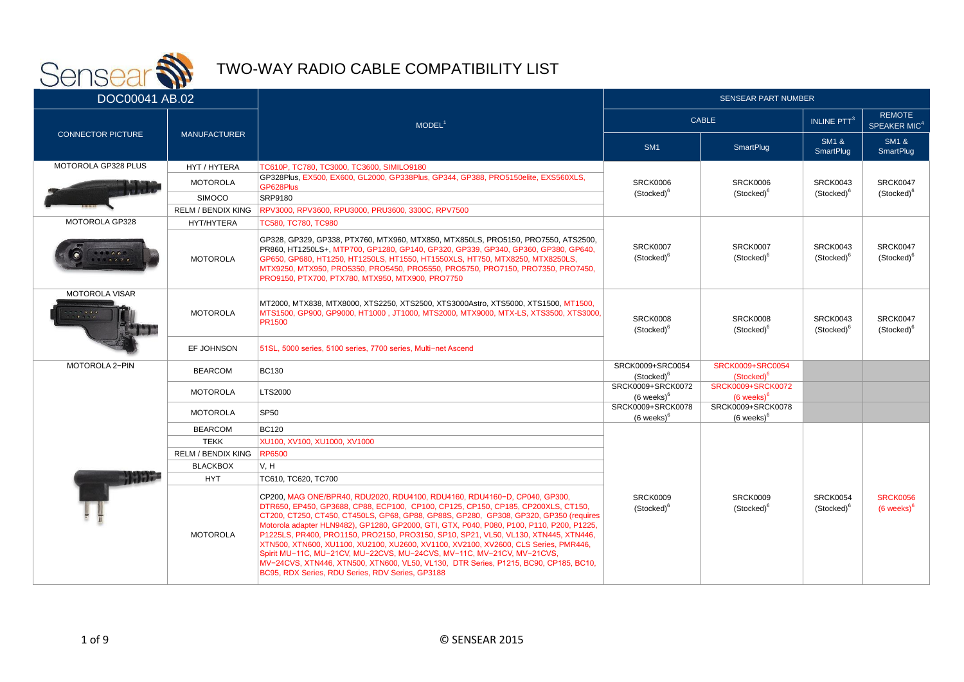

| <u>and the second second in the second second in the second second in the second in the second in the second in the second in the second in the second in the second in the second in the second in the second in the second in </u><br>DOC00041 AB.02 |                           |                                                                                                                                                                                                                                                                                                                                                                                                                                                                                                                                                                                                                                                                                                                                                          | <b>SENSEAR PART NUMBER</b>                                                             |                                            |                                           |                                           |  |
|--------------------------------------------------------------------------------------------------------------------------------------------------------------------------------------------------------------------------------------------------------|---------------------------|----------------------------------------------------------------------------------------------------------------------------------------------------------------------------------------------------------------------------------------------------------------------------------------------------------------------------------------------------------------------------------------------------------------------------------------------------------------------------------------------------------------------------------------------------------------------------------------------------------------------------------------------------------------------------------------------------------------------------------------------------------|----------------------------------------------------------------------------------------|--------------------------------------------|-------------------------------------------|-------------------------------------------|--|
|                                                                                                                                                                                                                                                        |                           | MODEL <sup>1</sup>                                                                                                                                                                                                                                                                                                                                                                                                                                                                                                                                                                                                                                                                                                                                       | <b>CABLE</b>                                                                           |                                            | INLINE PTT <sup>3</sup>                   | <b>REMOTE</b><br>SPEAKER MIC <sup>4</sup> |  |
| <b>CONNECTOR PICTURE</b>                                                                                                                                                                                                                               | <b>MANUFACTURER</b>       |                                                                                                                                                                                                                                                                                                                                                                                                                                                                                                                                                                                                                                                                                                                                                          | SM <sub>1</sub>                                                                        | SmartPlug                                  | <b>SM1 &amp;</b><br><b>SmartPlug</b>      | <b>SM1 &amp;</b><br><b>SmartPlug</b>      |  |
| MOTOROLA GP328 PLUS                                                                                                                                                                                                                                    | HYT / HYTERA              | TC610P, TC780, TC3000, TC3600, SIMILO9180                                                                                                                                                                                                                                                                                                                                                                                                                                                                                                                                                                                                                                                                                                                |                                                                                        |                                            |                                           |                                           |  |
|                                                                                                                                                                                                                                                        | <b>MOTOROLA</b>           | GP328Plus, EX500, EX600, GL2000, GP338Plus, GP344, GP388, PRO5150elite, EXS560XLS,<br>GP628Plus                                                                                                                                                                                                                                                                                                                                                                                                                                                                                                                                                                                                                                                          | <b>SRCK0006</b>                                                                        | SRCK0006                                   | SRCK0043                                  | <b>SRCK0047</b>                           |  |
|                                                                                                                                                                                                                                                        | <b>SIMOCO</b>             | SRP9180                                                                                                                                                                                                                                                                                                                                                                                                                                                                                                                                                                                                                                                                                                                                                  | (Stocked) <sup>6</sup>                                                                 | (Stocked) <sup>6</sup>                     | (Stocked) <sup>6</sup>                    | (Stocked) <sup>6</sup>                    |  |
|                                                                                                                                                                                                                                                        | <b>RELM / BENDIX KING</b> | RPV3000, RPV3600, RPU3000, PRU3600, 3300C, RPV7500                                                                                                                                                                                                                                                                                                                                                                                                                                                                                                                                                                                                                                                                                                       |                                                                                        |                                            |                                           |                                           |  |
| <b>MOTOROLA GP328</b>                                                                                                                                                                                                                                  | HYT/HYTERA                | TC580. TC780. TC980                                                                                                                                                                                                                                                                                                                                                                                                                                                                                                                                                                                                                                                                                                                                      |                                                                                        |                                            |                                           |                                           |  |
|                                                                                                                                                                                                                                                        | <b>MOTOROLA</b>           | GP328, GP329, GP338, PTX760, MTX960, MTX850, MTX850LS, PRO5150, PRO7550, ATS2500,<br>PR860, HT1250LS+, MTP700, GP1280, GP140, GP320, GP339, GP340, GP360, GP380, GP640,<br>GP650, GP680, HT1250, HT1250LS, HT1550, HT1550XLS, HT750, MTX8250, MTX8250LS,<br>MTX9250, MTX950, PRO5350, PRO5450, PRO5550, PRO5750, PRO7150, PRO7350, PRO7450,<br>PRO9150, PTX700, PTX780, MTX950, MTX900, PRO7750                                                                                                                                                                                                                                                                                                                                                          | <b>SRCK0007</b><br><b>SRCK0007</b><br>(Stocked) <sup>6</sup><br>(Stocked) <sup>6</sup> |                                            | SRCK0043<br>(Stocked) <sup>6</sup>        | <b>SRCK0047</b><br>(Stocked) <sup>6</sup> |  |
| <b>MOTOROLA VISAR</b>                                                                                                                                                                                                                                  | <b>MOTOROLA</b>           | MT2000, MTX838, MTX8000, XTS2250, XTS2500, XTS3000Astro, XTS5000, XTS1500, MT1500,<br>MTS1500, GP900, GP9000, HT1000, JT1000, MTS2000, MTX9000, MTX-LS, XTS3500, XTS3000,<br>PR1500                                                                                                                                                                                                                                                                                                                                                                                                                                                                                                                                                                      | <b>SRCK0008</b><br>(Stocked) <sup>6</sup>                                              | <b>SRCK0008</b><br>(Stocked) <sup>6</sup>  | SRCK0043<br>(Stocked) <sup>6</sup>        | <b>SRCK0047</b><br>(Stocked) <sup>6</sup> |  |
|                                                                                                                                                                                                                                                        | EF JOHNSON                | 51SL, 5000 series, 5100 series, 7700 series, Multi-net Ascend                                                                                                                                                                                                                                                                                                                                                                                                                                                                                                                                                                                                                                                                                            |                                                                                        |                                            |                                           |                                           |  |
| <b>MOTOROLA 2-PIN</b>                                                                                                                                                                                                                                  | <b>BEARCOM</b>            | <b>BC130</b>                                                                                                                                                                                                                                                                                                                                                                                                                                                                                                                                                                                                                                                                                                                                             | SRCK0009+SRC0054<br>(Stocked) <sup>6</sup>                                             | SRCK0009+SRC0054<br>(Stocked) <sup>6</sup> |                                           |                                           |  |
|                                                                                                                                                                                                                                                        | <b>MOTOROLA</b>           | LTS2000                                                                                                                                                                                                                                                                                                                                                                                                                                                                                                                                                                                                                                                                                                                                                  | SRCK0009+SRCK0072<br>$(6$ weeks) $6$                                                   | SRCK0009+SRCK0072<br>$(6$ weeks) $6$       |                                           |                                           |  |
|                                                                                                                                                                                                                                                        | <b>MOTOROLA</b>           | <b>SP50</b>                                                                                                                                                                                                                                                                                                                                                                                                                                                                                                                                                                                                                                                                                                                                              | SRCK0009+SRCK0078<br>$(6 \text{ weeks})^6$                                             | SRCK0009+SRCK0078<br>$(6 \text{ weeks})^6$ |                                           |                                           |  |
|                                                                                                                                                                                                                                                        | <b>BEARCOM</b>            | <b>BC120</b>                                                                                                                                                                                                                                                                                                                                                                                                                                                                                                                                                                                                                                                                                                                                             |                                                                                        |                                            |                                           |                                           |  |
|                                                                                                                                                                                                                                                        | <b>TEKK</b>               | XU100, XV100, XU1000, XV1000                                                                                                                                                                                                                                                                                                                                                                                                                                                                                                                                                                                                                                                                                                                             |                                                                                        |                                            |                                           |                                           |  |
|                                                                                                                                                                                                                                                        | <b>RELM / BENDIX KING</b> | <b>RP6500</b>                                                                                                                                                                                                                                                                                                                                                                                                                                                                                                                                                                                                                                                                                                                                            |                                                                                        |                                            |                                           |                                           |  |
|                                                                                                                                                                                                                                                        | <b>BLACKBOX</b>           | V, H                                                                                                                                                                                                                                                                                                                                                                                                                                                                                                                                                                                                                                                                                                                                                     |                                                                                        |                                            |                                           |                                           |  |
|                                                                                                                                                                                                                                                        | <b>HYT</b>                | TC610, TC620, TC700                                                                                                                                                                                                                                                                                                                                                                                                                                                                                                                                                                                                                                                                                                                                      |                                                                                        |                                            |                                           |                                           |  |
|                                                                                                                                                                                                                                                        | <b>MOTOROLA</b>           | CP200, MAG ONE/BPR40, RDU2020, RDU4100, RDU4160, RDU4160-D, CP040, GP300,<br>DTR650, EP450, GP3688, CP88, ECP100, CP100, CP125, CP150, CP185, CP200XLS, CT150,<br>CT200, CT250, CT450, CT450LS, GP68, GP88, GP88S, GP280, GP308, GP320, GP350 (requires<br>Motorola adapter HLN9482), GP1280, GP2000, GTI, GTX, P040, P080, P100, P110, P200, P1225,<br>P1225LS, PR400, PRO1150, PRO2150, PRO3150, SP10, SP21, VL50, VL130, XTN445, XTN446,<br>XTN500, XTN600, XU1100, XU2100, XU2600, XV1100, XV2100, XV2600, CLS Series, PMR446,<br>Spirit MU-11C, MU-21CV, MU-22CVS, MU-24CVS, MV-11C, MV-21CV, MV-21CVS,<br>MV-24CVS, XTN446, XTN500, XTN600, VL50, VL130, DTR Series, P1215, BC90, CP185, BC10,<br>BC95, RDX Series, RDU Series, RDV Series, GP3188 | <b>SRCK0009</b><br>(Stocked) <sup>6</sup>                                              | SRCK0009<br>(Stocked) <sup>6</sup>         | <b>SRCK0054</b><br>(Stocked) <sup>o</sup> | <b>SRCK0056</b><br>$(6$ weeks) $6$        |  |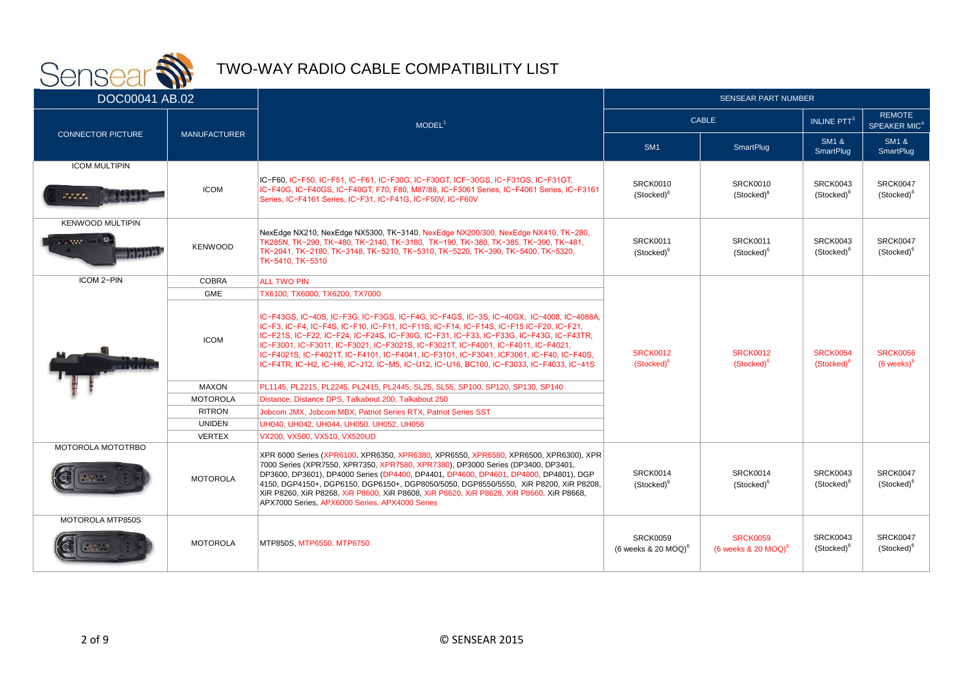

| DOC00041 AB.02                                         |                     |                                                                                                                                                                                                                                                                                                                                                                                                                                                                                                                                                       | <b>SENSEAR PART NUMBER</b>                                                      |                                                      |                                           |                                           |
|--------------------------------------------------------|---------------------|-------------------------------------------------------------------------------------------------------------------------------------------------------------------------------------------------------------------------------------------------------------------------------------------------------------------------------------------------------------------------------------------------------------------------------------------------------------------------------------------------------------------------------------------------------|---------------------------------------------------------------------------------|------------------------------------------------------|-------------------------------------------|-------------------------------------------|
|                                                        |                     | MODEL <sup>1</sup>                                                                                                                                                                                                                                                                                                                                                                                                                                                                                                                                    |                                                                                 | <b>CABLE</b>                                         |                                           | <b>REMOTE</b><br>SPEAKER MIC <sup>4</sup> |
| <b>CONNECTOR PICTURE</b>                               | <b>MANUFACTURER</b> |                                                                                                                                                                                                                                                                                                                                                                                                                                                                                                                                                       | SM <sub>1</sub>                                                                 | SmartPlug                                            | <b>SM1 &amp;</b><br><b>SmartPlug</b>      | <b>SM1 &amp;</b><br><b>SmartPlug</b>      |
| <b>ICOM MULTIPIN</b><br>៓៓៓៓៓៓៓៓៓៓៓៓៓                  | <b>ICOM</b>         | IC-F60, IC-F50, IC-F51, IC-F61, IC-F30G, IC-F30GT, ICF-30GS, IC-F31GS, IC-F31GT,<br>IC-F40G, IC-F40GS, IC-F40GT, F70, F80, M87/88, IC-F3061 Series, IC-F4061 Series, IC-F3161<br>Series, IC-F4161 Series, IC-F31, IC-F41G, IC-F50V, IC-F60V                                                                                                                                                                                                                                                                                                           | <b>SRCK0010</b><br>(Stocked) <sup>6</sup>                                       | <b>SRCK0010</b><br>(Stocked) <sup>6</sup>            | <b>SRCK0043</b><br>(Stocked) <sup>6</sup> | SRCK0047<br>(Stocked) <sup>6</sup>        |
| <b>KENWOOD MULTIPIN</b><br>1.32211100<br><b>Talala</b> | <b>KENWOOD</b>      | NexEdge NX210, NexEdge NX5300, TK-3140, NexEdge NX200/300, NexEdge NX410, TK-280,<br><b>SRCK0011</b><br><b>SRCK0011</b><br>TK285N, TK-290, TK-480, TK-2140, TK-3180, TK-190, TK-380, TK-385, TK-390, TK-481,<br>TK-2041, TK-2180, TK-3148, TK-5210, TK-5310, TK-5220, TK-390, TK-5400, TK-5320,<br>(Stocked) <sup>6</sup><br>(Stocked) <sup>6</sup><br>TK-5410, TK-5310                                                                                                                                                                               |                                                                                 | SRCK0043<br>(Stocked) <sup>6</sup>                   | SRCK0047<br>(Stocked) <sup>6</sup>        |                                           |
| ICOM 2-PIN                                             | COBRA               | <b>ALL TWO PIN</b>                                                                                                                                                                                                                                                                                                                                                                                                                                                                                                                                    |                                                                                 |                                                      |                                           |                                           |
|                                                        | <b>GME</b>          | TX6100, TX6000, TX6200, TX7000                                                                                                                                                                                                                                                                                                                                                                                                                                                                                                                        |                                                                                 |                                                      |                                           |                                           |
|                                                        | <b>ICOM</b>         | IC-F43GS, IC-40S, IC-F3G, IC-F3GS, IC-F4G, IC-F4GS, IC-3S, IC-40GX, IC-4008, IC-4088A,<br>IC-F3, IC-F4, IC-F4S, IC-F10, IC-F11, IC-F11S, IC-F14, IC-F14S, IC-F15 IC-F20, IC-F21,<br>IC-F21S, IC-F22, IC-F24, IC-F24S, IC-F30G, IC-F31, IC-F33, IC-F33G, IC-F43G, IC-F43TR,<br>IC-F3001, IC-F3011, IC-F3021, IC-F3021S, IC-F3021T, IC-F4001, IC-F4011, IC-F4021,<br>IC-F4021S, IC-F4021T, IC-F4101, IC-F4041, IC-F3101, IC-F3041, ICF3061, IC-F40, IC-F40S,<br>IC-F4TR. IC-H2. IC-H6. IC-J12. IC-M5. IC-U12. IC-U16. BC100. IC-F3033. IC-F4033. IC-41S | <b>SRCK0012</b><br>(Stocked) <sup>6</sup>                                       | <b>SRCK0012</b><br>(Stocked) <sup>6</sup>            | <b>SRCK0054</b><br>(Stocked) <sup>6</sup> | <b>SRCK0056</b><br>$(6 \text{ weeks})^6$  |
|                                                        | <b>MAXON</b>        | PL1145, PL2215, PL2245, PL2415, PL2445, SL25, SL55, SP100, SP120, SP130, SP140                                                                                                                                                                                                                                                                                                                                                                                                                                                                        |                                                                                 |                                                      |                                           |                                           |
|                                                        | <b>MOTOROLA</b>     | Distance, Distance DPS, Talkabout 200, Talkabout 250                                                                                                                                                                                                                                                                                                                                                                                                                                                                                                  |                                                                                 |                                                      |                                           |                                           |
|                                                        | <b>RITRON</b>       | Jobcom JMX, Jobcom MBX, Patriot Series RTX, Patriot Series SST                                                                                                                                                                                                                                                                                                                                                                                                                                                                                        |                                                                                 |                                                      |                                           |                                           |
|                                                        | <b>UNIDEN</b>       | UH040, UH042, UH044, UH050, UH052, UH056                                                                                                                                                                                                                                                                                                                                                                                                                                                                                                              |                                                                                 |                                                      |                                           |                                           |
|                                                        | <b>VERTEX</b>       | VX200, VX500, VX510, VX520UD                                                                                                                                                                                                                                                                                                                                                                                                                                                                                                                          |                                                                                 |                                                      |                                           |                                           |
| <b>MOTOROLA MOTOTRBO</b>                               | <b>MOTOROLA</b>     | XPR 6000 Series (XPR6100, XPR6350, XPR6380, XPR6550, XPR6580, XPR6500, XPR6300), XPR<br>7000 Series (XPR7550, XPR7350, XPR7580, XPR7380), DP3000 Series (DP3400, DP3401,<br>DP3600, DP3601), DP4000 Series (DP4400, DP4401, DP4600, DP4601, DP4800, DP4801), DGP<br>4150, DGP4150+, DGP6150, DGP6150+, DGP8050/5050, DGP8550/5550, XiR P8200, XiR P8208,<br>XiR P8260, XiR P8268, XiR P8600, XiR P8608, XiR P8620, XiR P8628, XiR P8660, XiR P8668,<br>APX7000 Series, APX6000 Series, APX4000 Series                                                 | SRCK0014<br><b>SRCK0014</b><br>(Stocked) <sup>6</sup><br>(Stocked) <sup>6</sup> |                                                      | <b>SRCK0043</b><br>(Stocked) <sup>6</sup> | SRCK0047<br>(Stocked) <sup>6</sup>        |
| MOTOROLA MTP850S                                       | <b>MOTOROLA</b>     | MTP850S, MTP6550, MTP6750                                                                                                                                                                                                                                                                                                                                                                                                                                                                                                                             | <b>SRCK0059</b><br>(6 weeks $& 20$ MOQ) <sup>6</sup>                            | <b>SRCK0059</b><br>$(6$ weeks & 20 MOQ) <sup>6</sup> | <b>SRCK0043</b><br>(Stocked) <sup>6</sup> | SRCK0047<br>(Stocked) <sup>6</sup>        |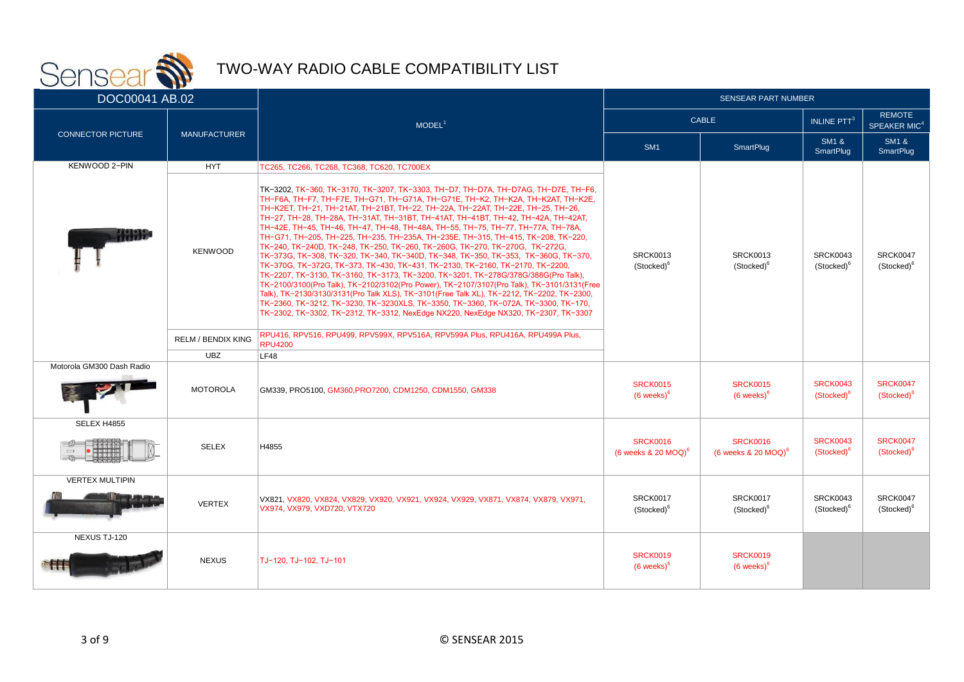

| $\sim$ $\sim$ $\sim$ $\sim$ $\sim$<br>DOC00041 AB.02 |                           |                                                                                                                                                                                                                                                                                                                                                                                                                                                                                                                                                                                                                                                                                                                                                                                                                                                                                                                                                                                                                                                                                                                                                                                                                                            | <b>SENSEAR PART NUMBER</b>                                                             |                                                      |                                           |                                           |                                           |                                           |
|------------------------------------------------------|---------------------------|--------------------------------------------------------------------------------------------------------------------------------------------------------------------------------------------------------------------------------------------------------------------------------------------------------------------------------------------------------------------------------------------------------------------------------------------------------------------------------------------------------------------------------------------------------------------------------------------------------------------------------------------------------------------------------------------------------------------------------------------------------------------------------------------------------------------------------------------------------------------------------------------------------------------------------------------------------------------------------------------------------------------------------------------------------------------------------------------------------------------------------------------------------------------------------------------------------------------------------------------|----------------------------------------------------------------------------------------|------------------------------------------------------|-------------------------------------------|-------------------------------------------|-------------------------------------------|-------------------------------------------|
|                                                      |                           | <b>CABLE</b><br>MODEL <sup>1</sup>                                                                                                                                                                                                                                                                                                                                                                                                                                                                                                                                                                                                                                                                                                                                                                                                                                                                                                                                                                                                                                                                                                                                                                                                         |                                                                                        |                                                      | <b>INLINE PTT</b> <sup>3</sup>            | <b>REMOTE</b><br>SPEAKER MIC <sup>4</sup> |                                           |                                           |
| <b>CONNECTOR PICTURE</b>                             | <b>MANUFACTURER</b>       |                                                                                                                                                                                                                                                                                                                                                                                                                                                                                                                                                                                                                                                                                                                                                                                                                                                                                                                                                                                                                                                                                                                                                                                                                                            | SM <sub>1</sub>                                                                        | <b>SmartPlug</b>                                     | <b>SM1 &amp;</b><br><b>SmartPlug</b>      | <b>SM1 &amp;</b><br><b>SmartPlug</b>      |                                           |                                           |
| KENWOOD 2-PIN                                        | <b>HYT</b>                | TC265, TC266, TC268, TC368, TC620, TC700EX                                                                                                                                                                                                                                                                                                                                                                                                                                                                                                                                                                                                                                                                                                                                                                                                                                                                                                                                                                                                                                                                                                                                                                                                 |                                                                                        |                                                      |                                           |                                           |                                           |                                           |
| nn yr                                                | <b>KENWOOD</b>            | TK-3202, TK-360, TK-3170, TK-3207, TK-3303, TH-D7, TH-D7A, TH-D7AG, TH-D7E, TH-F6,<br>ТН-F6A, ТН-F7, ТН-F7E, ТН-G71, ТН-G71A, ТН-G71E, ТН-К2, ТН-К2А, ТН-К2АТ, ТН-К2Е,<br>TH-K2ET, TH-21, TH-21AT, TH-21BT, TH-22, TH-22A, TH-22AT, TH-22E, TH-25, TH-26,<br>ТН-27, ТН-28, ТН-28А, ТН-31АТ, ТН-31ВТ, ТН-41АТ, ТН-41ВТ, ТН-42, ТН-42А, ТН-42АТ,<br>TH-42E, TH-45, TH-46, TH-47, TH-48, TH-48A, TH-55, TH-75, TH-77, TH-77A, TH-78A,<br>TH-G71, TH-205, TH-225, TH-235, TH-235A, TH-235E, TH-315, TH-415, TK-208, TK-220,<br>TK-240, TK-240D, TK-248, TK-250, TK-260, TK-260G, TK-270, TK-270G, TK-272G,<br>TK-373G, TK-308, TK-320, TK-340, TK-340D, TK-348, TK-350, TK-353, TK-360G, TK-370,<br>TK-370G, TK-372G, TK-373, TK-430, TK-431, TK-2130, TK-2160, TK-2170, TK-2200,<br>TK-2207, TK-3130, TK-3160, TK-3173, TK-3200, TK-3201, TK-278G/378G/388G(Pro Talk),<br>TK-2100/3100(Pro Talk), TK-2102/3102(Pro Power), TK-2107/3107(Pro Talk), TK-3101/3131(Free<br>Talk), TK-2130/3130/3131(Pro Talk XLS), TK-3101(Free Talk XL), TK-2212, TK-2202, TK-2300,<br>TK-2360, TK-3212, TK-3230, TK-3230XLS, TK-3350, TK-3360, TK-072A, TK-3300, TK-170,<br>TK-2302, TK-3302, TK-2312, TK-3312, NexEdge NX220, NexEdge NX320, TK-2307, TK-3307 | <b>SRCK0013</b><br><b>SRCK0013</b><br>(Stocked) <sup>6</sup><br>(Stocked) <sup>6</sup> |                                                      |                                           |                                           | <b>SRCK0043</b><br>(Stocked) <sup>6</sup> | <b>SRCK0047</b><br>(Stocked) <sup>6</sup> |
|                                                      | <b>RELM / BENDIX KING</b> | RPU416, RPV516, RPU499, RPV599X, RPV516A, RPV599A Plus, RPU416A, RPU499A Plus,<br><b>RPU4200</b>                                                                                                                                                                                                                                                                                                                                                                                                                                                                                                                                                                                                                                                                                                                                                                                                                                                                                                                                                                                                                                                                                                                                           |                                                                                        |                                                      |                                           |                                           |                                           |                                           |
|                                                      | <b>UBZ</b>                | LF48                                                                                                                                                                                                                                                                                                                                                                                                                                                                                                                                                                                                                                                                                                                                                                                                                                                                                                                                                                                                                                                                                                                                                                                                                                       |                                                                                        |                                                      |                                           |                                           |                                           |                                           |
| Motorola GM300 Dash Radio                            | <b>MOTOROLA</b>           | GM339, PRO5100, GM360, PRO7200, CDM1250, CDM1550, GM338                                                                                                                                                                                                                                                                                                                                                                                                                                                                                                                                                                                                                                                                                                                                                                                                                                                                                                                                                                                                                                                                                                                                                                                    | <b>SRCK0015</b><br><b>SRCK0015</b><br>$(6$ weeks) $6$<br>$(6$ weeks) $6$               |                                                      | <b>SRCK0043</b><br>(Stocked) <sup>6</sup> | <b>SRCK0047</b><br>(Stocked) <sup>6</sup> |                                           |                                           |
| SELEX H4855                                          |                           |                                                                                                                                                                                                                                                                                                                                                                                                                                                                                                                                                                                                                                                                                                                                                                                                                                                                                                                                                                                                                                                                                                                                                                                                                                            |                                                                                        |                                                      |                                           |                                           |                                           |                                           |
| $\qquad \qquad \Box$                                 | <b>SELEX</b>              | H4855                                                                                                                                                                                                                                                                                                                                                                                                                                                                                                                                                                                                                                                                                                                                                                                                                                                                                                                                                                                                                                                                                                                                                                                                                                      | <b>SRCK0016</b><br>$(6$ weeks & 20 MOQ) <sup>6</sup>                                   | <b>SRCK0016</b><br>(6 weeks $& 20$ MOQ) <sup>6</sup> | <b>SRCK0043</b><br>(Stocked) <sup>6</sup> | <b>SRCK0047</b><br>(Stocked) <sup>t</sup> |                                           |                                           |
| <b>VERTEX MULTIPIN</b>                               | <b>VERTEX</b>             | VX821, VX820, VX824, VX829, VX920, VX921, VX924, VX929, VX871, VX874, VX879, VX971,<br>VX974, VX979, VXD720, VTX720                                                                                                                                                                                                                                                                                                                                                                                                                                                                                                                                                                                                                                                                                                                                                                                                                                                                                                                                                                                                                                                                                                                        | <b>SRCK0017</b><br>(Stocked) <sup>6</sup>                                              | <b>SRCK0017</b><br>(Stocked) <sup>6</sup>            | <b>SRCK0043</b><br>(Stocked) <sup>6</sup> | <b>SRCK0047</b><br>(Stocked) <sup>6</sup> |                                           |                                           |
| NEXUS TJ-120                                         | <b>NEXUS</b>              | TJ-120, TJ-102, TJ-101                                                                                                                                                                                                                                                                                                                                                                                                                                                                                                                                                                                                                                                                                                                                                                                                                                                                                                                                                                                                                                                                                                                                                                                                                     | <b>SRCK0019</b><br>$(6$ weeks) $6$                                                     | <b>SRCK0019</b><br>$(6$ weeks) $6$                   |                                           |                                           |                                           |                                           |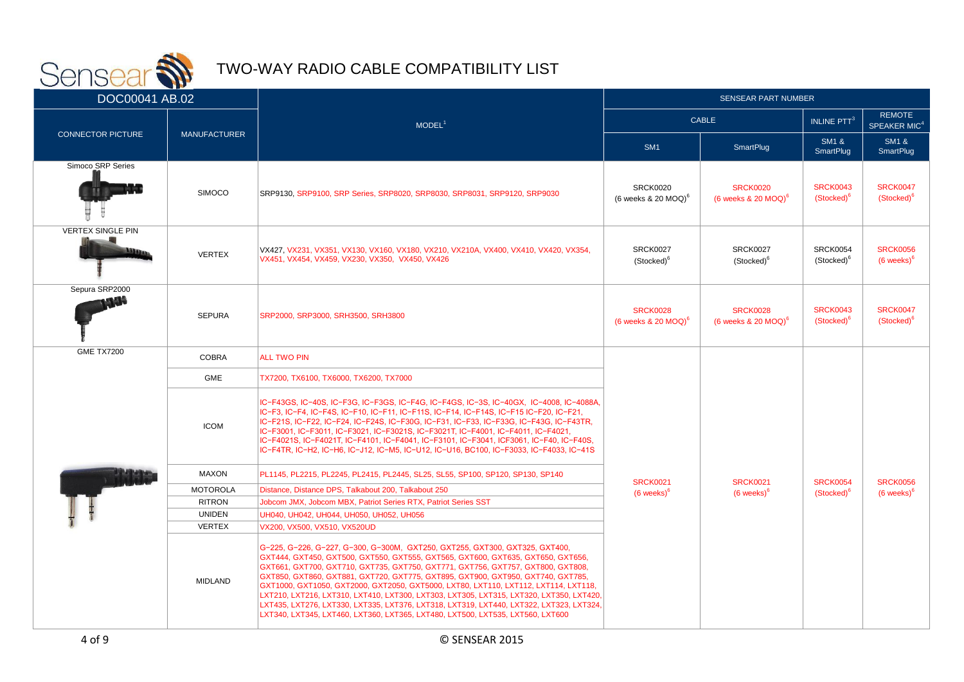

| ---<br>DOC00041 AB.02    |                     |                                                                                                                                                                                                                                                                                                                                                                                                                                                                                                                                                                                                                                                                                                     | <b>SENSEAR PART NUMBER</b>                                                                                    |                                                      |                                           |                                           |
|--------------------------|---------------------|-----------------------------------------------------------------------------------------------------------------------------------------------------------------------------------------------------------------------------------------------------------------------------------------------------------------------------------------------------------------------------------------------------------------------------------------------------------------------------------------------------------------------------------------------------------------------------------------------------------------------------------------------------------------------------------------------------|---------------------------------------------------------------------------------------------------------------|------------------------------------------------------|-------------------------------------------|-------------------------------------------|
|                          |                     | MODEL <sup>1</sup>                                                                                                                                                                                                                                                                                                                                                                                                                                                                                                                                                                                                                                                                                  | <b>CABLE</b>                                                                                                  |                                                      | <b>INLINE PTT<sup>3</sup></b>             | <b>REMOTE</b><br>SPEAKER MIC <sup>4</sup> |
| <b>CONNECTOR PICTURE</b> | <b>MANUFACTURER</b> |                                                                                                                                                                                                                                                                                                                                                                                                                                                                                                                                                                                                                                                                                                     | SM <sub>1</sub>                                                                                               | SmartPlug                                            | <b>SM1 &amp;</b><br><b>SmartPlug</b>      | <b>SM1 &amp;</b><br><b>SmartPlug</b>      |
| Simoco SRP Series        | <b>SIMOCO</b>       | SRP9130, SRP9100, SRP Series, SRP8020, SRP8030, SRP8031, SRP9120, SRP9030                                                                                                                                                                                                                                                                                                                                                                                                                                                                                                                                                                                                                           | <b>SRCK0020</b><br>(6 weeks $& 20$ MOQ) <sup>6</sup>                                                          | <b>SRCK0020</b><br>(6 weeks $& 20$ MOQ) <sup>6</sup> | <b>SRCK0043</b><br>(Stocked) <sup>6</sup> | <b>SRCK0047</b><br>(Stocked) <sup>6</sup> |
| <b>VERTEX SINGLE PIN</b> | <b>VERTEX</b>       | VX427, VX231, VX351, VX130, VX160, VX180, VX210, VX210A, VX400, VX410, VX420, VX354,<br>VX451, VX454, VX459, VX230, VX350, VX450, VX426                                                                                                                                                                                                                                                                                                                                                                                                                                                                                                                                                             | <b>SRCK0027</b><br>(Stocked) <sup>6</sup>                                                                     | <b>SRCK0027</b><br>(Stocked) <sup>6</sup>            | <b>SRCK0054</b><br>(Stocked) <sup>6</sup> | <b>SRCK0056</b><br>$(6$ weeks) $6$        |
| Sepura SRP2000           | <b>SEPURA</b>       | SRP2000, SRP3000, SRH3500, SRH3800                                                                                                                                                                                                                                                                                                                                                                                                                                                                                                                                                                                                                                                                  | <b>SRCK0028</b><br><b>SRCK0028</b><br>(6 weeks $& 20$ MOQ) <sup>6</sup><br>(6 weeks $\&$ 20 MOQ) <sup>6</sup> |                                                      | <b>SRCK0043</b><br>(Stocked) <sup>o</sup> | <b>SRCK0047</b><br>(Stocked) <sup>6</sup> |
| <b>GME TX7200</b>        | <b>COBRA</b>        | <b>ALL TWO PIN</b>                                                                                                                                                                                                                                                                                                                                                                                                                                                                                                                                                                                                                                                                                  |                                                                                                               |                                                      |                                           |                                           |
|                          | <b>GME</b>          | TX7200, TX6100, TX6000, TX6200, TX7000                                                                                                                                                                                                                                                                                                                                                                                                                                                                                                                                                                                                                                                              |                                                                                                               |                                                      |                                           |                                           |
| <b>ICOM</b>              |                     | IC-F43GS, IC-40S, IC-F3G, IC-F3GS, IC-F4G, IC-F4GS, IC-3S, IC-40GX, IC-4008, IC-4088A,<br>IC-F3, IC-F4, IC-F4S, IC-F10, IC-F11, IC-F11S, IC-F14, IC-F14S, IC-F15 IC-F20, IC-F21,<br>IC-F21S, IC-F22, IC-F24, IC-F24S, IC-F30G, IC-F31, IC-F33, IC-F33G, IC-F43G, IC-F43TR,<br>IC-F3001, IC-F3011, IC-F3021, IC-F3021S, IC-F3021T, IC-F4001, IC-F4011, IC-F4021,<br>IC-F4021S, IC-F4021T, IC-F4101, IC-F4041, IC-F3101, IC-F3041, ICF3061, IC-F40, IC-F40S,<br>IC-F4TR, IC-H2, IC-H6, IC-J12, IC-M5, IC-U12, IC-U16, BC100, IC-F3033, IC-F4033, IC-41S                                                                                                                                               |                                                                                                               |                                                      |                                           |                                           |
|                          | <b>MAXON</b>        | PL1145, PL2215, PL2245, PL2415, PL2445, SL25, SL55, SP100, SP120, SP130, SP140                                                                                                                                                                                                                                                                                                                                                                                                                                                                                                                                                                                                                      | <b>SRCK0021</b>                                                                                               | <b>SRCK0021</b>                                      | <b>SRCK0054</b>                           | <b>SRCK0056</b>                           |
|                          | <b>MOTOROLA</b>     | Distance, Distance DPS, Talkabout 200, Talkabout 250                                                                                                                                                                                                                                                                                                                                                                                                                                                                                                                                                                                                                                                | $(6$ weeks) $6$                                                                                               | $(6$ weeks) $6$                                      | (Stocked) <sup>6</sup>                    | $(6$ weeks) $6$                           |
|                          | <b>RITRON</b>       | Jobcom JMX, Jobcom MBX, Patriot Series RTX, Patriot Series SST                                                                                                                                                                                                                                                                                                                                                                                                                                                                                                                                                                                                                                      |                                                                                                               |                                                      |                                           |                                           |
| <b>UNIDEN</b>            |                     | UH040, UH042, UH044, UH050, UH052, UH056                                                                                                                                                                                                                                                                                                                                                                                                                                                                                                                                                                                                                                                            |                                                                                                               |                                                      |                                           |                                           |
|                          | <b>VERTEX</b>       | VX200, VX500, VX510, VX520UD                                                                                                                                                                                                                                                                                                                                                                                                                                                                                                                                                                                                                                                                        |                                                                                                               |                                                      |                                           |                                           |
|                          | <b>MIDLAND</b>      | G-225, G-226, G-227, G-300, G-300M, GXT250, GXT255, GXT300, GXT325, GXT400,<br>GXT444, GXT450, GXT500, GXT550, GXT555, GXT565, GXT600, GXT635, GXT650, GXT656,<br>GXT661, GXT700, GXT710, GXT735, GXT750, GXT771, GXT756, GXT757, GXT800, GXT808,<br>GXT850, GXT860, GXT881, GXT720, GXT775, GXT895, GXT900, GXT950, GXT740, GXT785,<br>GXT1000, GXT1050, GXT2000, GXT2050, GXT5000, LXT80, LXT110, LXT112, LXT114, LXT118,<br>LXT210, LXT216, LXT310, LXT410, LXT300, LXT303, LXT305, LXT315, LXT320, LXT350, LXT420,<br>LXT435, LXT276, LXT330, LXT335, LXT376, LXT318, LXT319, LXT440, LXT322, LXT323, LXT324,<br>LXT340, LXT345, LXT460, LXT360, LXT365, LXT480, LXT500, LXT535, LXT560, LXT600 |                                                                                                               |                                                      |                                           |                                           |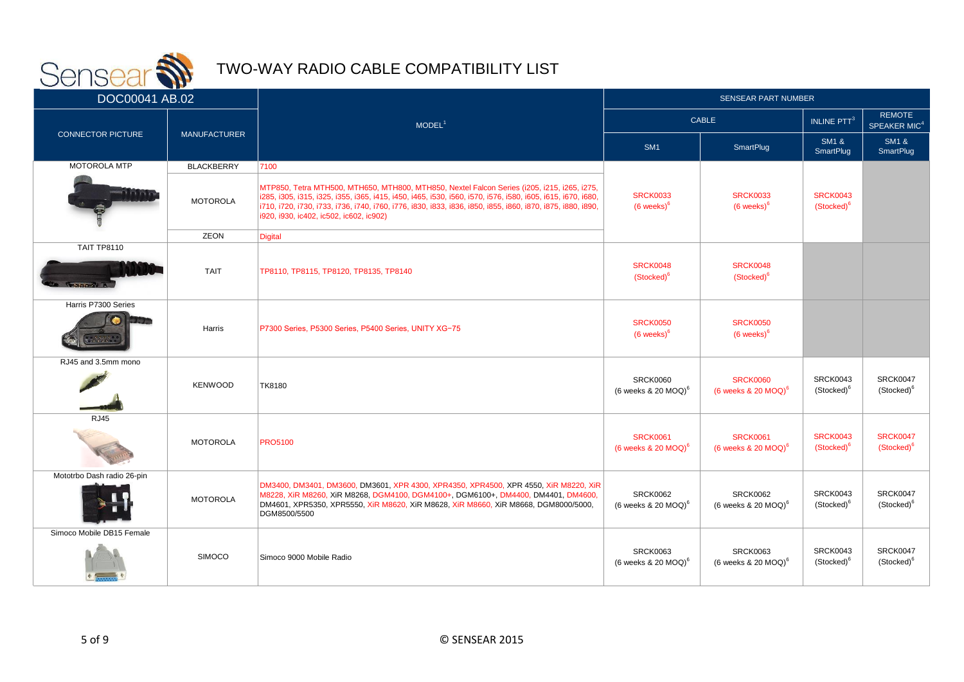

| <u>and the same of the same of the same of the same of the same of the same of the same of the same of the same of the same of the same of the same of the same of the same of the same of the same of the same of the same of t</u><br>DOC00041 AB.02 |                     |                                                                                                                                                                                                                                                                                                                                                                      | <b>SENSEAR PART NUMBER</b>                                               |                                                      |                                           |                                           |
|--------------------------------------------------------------------------------------------------------------------------------------------------------------------------------------------------------------------------------------------------------|---------------------|----------------------------------------------------------------------------------------------------------------------------------------------------------------------------------------------------------------------------------------------------------------------------------------------------------------------------------------------------------------------|--------------------------------------------------------------------------|------------------------------------------------------|-------------------------------------------|-------------------------------------------|
|                                                                                                                                                                                                                                                        |                     | MODEL <sup>1</sup>                                                                                                                                                                                                                                                                                                                                                   | <b>CABLE</b>                                                             |                                                      | <b>INLINE PTT<sup>3</sup></b>             | <b>REMOTE</b><br>SPEAKER MIC <sup>4</sup> |
| <b>CONNECTOR PICTURE</b>                                                                                                                                                                                                                               | <b>MANUFACTURER</b> |                                                                                                                                                                                                                                                                                                                                                                      | SM <sub>1</sub>                                                          | SmartPlug                                            | <b>SM1 &amp;</b><br><b>SmartPlug</b>      | <b>SM1 &amp;</b><br><b>SmartPlug</b>      |
| <b>MOTOROLA MTP</b>                                                                                                                                                                                                                                    | <b>BLACKBERRY</b>   | 7100                                                                                                                                                                                                                                                                                                                                                                 |                                                                          |                                                      |                                           |                                           |
|                                                                                                                                                                                                                                                        | <b>MOTOROLA</b>     | MTP850, Tetra MTH500, MTH650, MTH800, MTH850, Nextel Falcon Series (i205, i215, i265, i275,<br>i285, i305, i315, i325, i355, i365, i415, i450, i465, i530, i560, i570, i576, i580, i605, i615, i670, i680,<br>1710, 1720, 1730, 1733, 1736, 1740, 1760, 1776, 1830, 1833, 1836, 1850, 1855, 1860, 1870, 1875, 1880, 1890,<br>i920, i930, ic402, ic502, ic602, ic902) | <b>SRCK0033</b><br><b>SRCK0033</b><br>$(6$ weeks) $6$<br>$(6$ weeks) $6$ |                                                      | <b>SRCK0043</b><br>(Stocked) <sup>6</sup> |                                           |
|                                                                                                                                                                                                                                                        | ZEON                | Digital                                                                                                                                                                                                                                                                                                                                                              |                                                                          |                                                      |                                           |                                           |
| <b>TAIT TP8110</b><br><b>MALISTAN III</b>                                                                                                                                                                                                              | <b>TAIT</b>         | TP8110, TP8115, TP8120, TP8135, TP8140                                                                                                                                                                                                                                                                                                                               | <b>SRCK0048</b><br>(Stocked) <sup>6</sup>                                | <b>SRCK0048</b><br>(Stocked) <sup>6</sup>            |                                           |                                           |
| Harris P7300 Series                                                                                                                                                                                                                                    | Harris              | P7300 Series, P5300 Series, P5400 Series, UNITY XG-75                                                                                                                                                                                                                                                                                                                | <b>SRCK0050</b><br>$(6$ weeks) $6$                                       | <b>SRCK0050</b><br>$(6$ weeks) $6$                   |                                           |                                           |
| RJ45 and 3.5mm mono                                                                                                                                                                                                                                    | <b>KENWOOD</b>      | <b>TK8180</b>                                                                                                                                                                                                                                                                                                                                                        | <b>SRCK0060</b><br>$(6$ weeks & 20 MOQ) <sup>6</sup>                     | <b>SRCK0060</b><br>$(6$ weeks & 20 MOQ) <sup>6</sup> | <b>SRCK0043</b><br>(Stocked) <sup>6</sup> | <b>SRCK0047</b><br>(Stocked) <sup>6</sup> |
| <b>RJ45</b>                                                                                                                                                                                                                                            | <b>MOTOROLA</b>     | <b>PRO5100</b>                                                                                                                                                                                                                                                                                                                                                       | <b>SRCK0061</b><br>$(6$ weeks & 20 MOQ) <sup>6</sup>                     | <b>SRCK0061</b><br>$(6$ weeks & 20 MOQ) <sup>6</sup> | <b>SRCK0043</b><br>(Stocked) <sup>6</sup> | <b>SRCK0047</b><br>(Stocked) <sup>6</sup> |
| Mototrbo Dash radio 26-pin                                                                                                                                                                                                                             | <b>MOTOROLA</b>     | DM3400, DM3401, DM3600, DM3601, XPR 4300, XPR4350, XPR4500, XPR 4550, XiR M8220, XiR<br>M8228, XiR M8260, XiR M8268, DGM4100, DGM4100+, DGM6100+, DM4400, DM4401, DM4600,<br>DM4601, XPR5350, XPR5550, XiR M8620, XiR M8628, XiR M8660, XiR M8668, DGM8000/5000,<br>DGM8500/5500                                                                                     | <b>SRCK0062</b><br>(6 weeks $& 20$ MOQ) <sup>6</sup>                     | <b>SRCK0062</b><br>(6 weeks $& 20$ MOQ) <sup>6</sup> | <b>SRCK0043</b><br>(Stocked) <sup>6</sup> | <b>SRCK0047</b><br>(Stocked) <sup>6</sup> |
| Simoco Mobile DB15 Female                                                                                                                                                                                                                              | <b>SIMOCO</b>       | Simoco 9000 Mobile Radio                                                                                                                                                                                                                                                                                                                                             | <b>SRCK0063</b><br>(6 weeks $& 20$ MOQ) <sup>6</sup>                     | <b>SRCK0063</b><br>(6 weeks $& 20$ MOQ) <sup>6</sup> | SRCK0043<br>(Stocked) <sup>6</sup>        | <b>SRCK0047</b><br>(Stocked) <sup>6</sup> |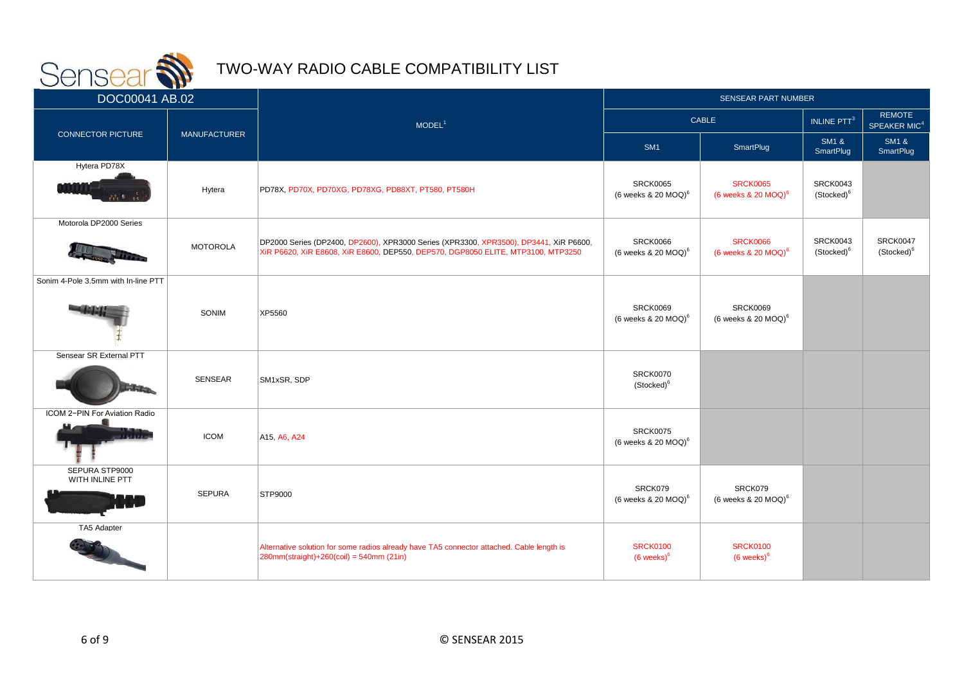

| <u>and the same state of the same state</u><br>DOC00041 AB.02 |                     |                                                                                                                                                                           | <b>SENSEAR PART NUMBER</b>                            |                                               |                                           |                                           |
|---------------------------------------------------------------|---------------------|---------------------------------------------------------------------------------------------------------------------------------------------------------------------------|-------------------------------------------------------|-----------------------------------------------|-------------------------------------------|-------------------------------------------|
|                                                               |                     | MODEL <sup>1</sup>                                                                                                                                                        | <b>CABLE</b>                                          |                                               | INLINE PTT <sup>3</sup>                   | <b>REMOTE</b><br>SPEAKER MIC <sup>4</sup> |
| <b>CONNECTOR PICTURE</b>                                      | <b>MANUFACTURER</b> |                                                                                                                                                                           | SM <sub>1</sub>                                       | SmartPlug                                     | <b>SM1 &amp;</b><br>SmartPlug             | <b>SM1 &amp;</b><br>SmartPlug             |
| Hytera PD78X                                                  | Hytera              | PD78X, PD70X, PD70XG, PD78XG, PD88XT, PT580, PT580H                                                                                                                       | <b>SRCK0065</b><br>(6 weeks $\&$ 20 MOQ) <sup>6</sup> | <b>SRCK0065</b><br>(6 weeks $& 20$ MOQ) $^6$  | <b>SRCK0043</b><br>(Stocked) <sup>6</sup> |                                           |
| Motorola DP2000 Series                                        | <b>MOTOROLA</b>     | DP2000 Series (DP2400, DP2600), XPR3000 Series (XPR3300, XPR3500), DP3441, XiR P6600,<br>XiR P6620, XiR E8608, XiR E8600, DEP550, DEP570, DGP8050 ELITE, MTP3100, MTP3250 | <b>SRCK0066</b><br>(6 weeks $& 20$ MOQ) <sup>6</sup>  | <b>SRCK0066</b><br>(6 weeks $& 20$ MOQ) $^6$  | <b>SRCK0043</b><br>(Stocked) <sup>6</sup> | <b>SRCK0047</b><br>(Stocked) <sup>6</sup> |
| Sonim 4-Pole 3.5mm with In-line PTT                           | SONIM               | XP5560                                                                                                                                                                    | <b>SRCK0069</b><br>(6 weeks $& 20$ MOQ) <sup>6</sup>  | SRCK0069<br>(6 weeks $& 20$ MOQ) <sup>6</sup> |                                           |                                           |
| Sensear SR External PTT                                       | SENSEAR             | SM1xSR, SDP                                                                                                                                                               | <b>SRCK0070</b><br>(Stocked) <sup>6</sup>             |                                               |                                           |                                           |
| ICOM 2-PIN For Aviation Radio                                 | <b>ICOM</b>         | A15, A6, A24                                                                                                                                                              | <b>SRCK0075</b><br>(6 weeks & 20 $MOQ$ ) <sup>6</sup> |                                               |                                           |                                           |
| SEPURA STP9000<br>WITH INLINE PTT                             | <b>SEPURA</b>       | <b>STP9000</b>                                                                                                                                                            | SRCK079<br>(6 weeks $& 20$ MOQ) <sup>6</sup>          | SRCK079<br>(6 weeks $& 20$ MOQ) <sup>6</sup>  |                                           |                                           |
| TA5 Adapter                                                   |                     | Alternative solution for some radios already have TA5 connector attached. Cable length is<br>$ 280$ mm(straight)+260(coil) = 540mm (21in)                                 | <b>SRCK0100</b><br>$(6$ weeks) $6$                    | <b>SRCK0100</b><br>$(6$ weeks) $6$            |                                           |                                           |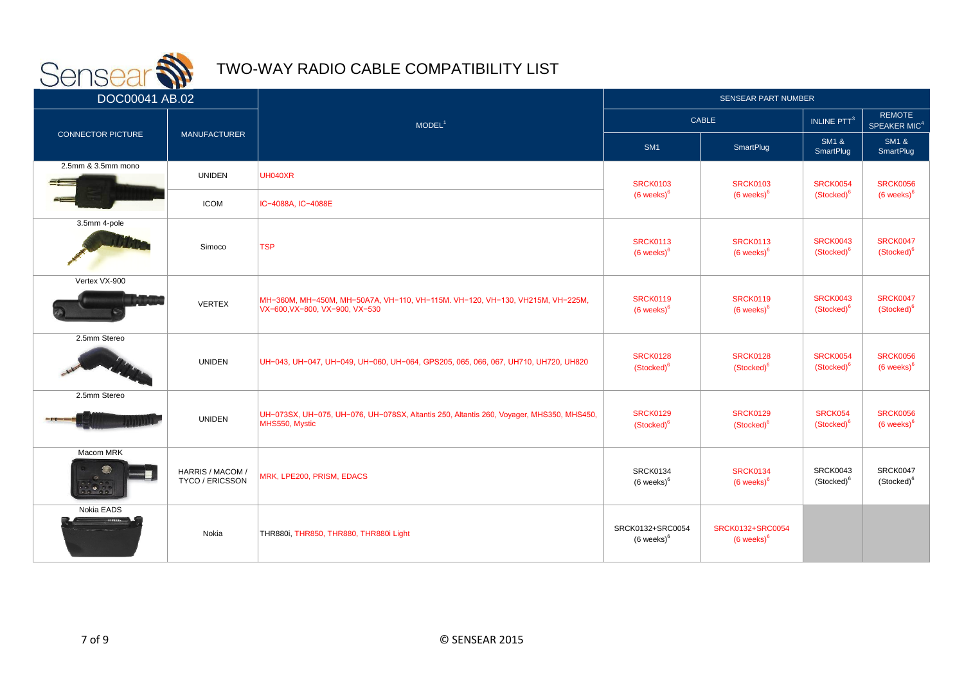

| <u>and the second second in the second second in the second second in the second second in the second second in the second second in the second second in the second second in the second second in the second second in the sec</u><br>DOC00041 AB.02 |                                     |                                                                                                                 | <b>SENSEAR PART NUMBER</b>                |                                           |                                           |                                           |
|--------------------------------------------------------------------------------------------------------------------------------------------------------------------------------------------------------------------------------------------------------|-------------------------------------|-----------------------------------------------------------------------------------------------------------------|-------------------------------------------|-------------------------------------------|-------------------------------------------|-------------------------------------------|
|                                                                                                                                                                                                                                                        |                                     | MODEL <sup>1</sup>                                                                                              | CABLE                                     |                                           | INLINE PTT <sup>3</sup>                   | <b>REMOTE</b><br>SPEAKER MIC <sup>4</sup> |
| <b>CONNECTOR PICTURE</b>                                                                                                                                                                                                                               | <b>MANUFACTURER</b>                 |                                                                                                                 | SM <sub>1</sub>                           | <b>SmartPlug</b>                          | <b>SM1 &amp;</b><br><b>SmartPlug</b>      | <b>SM1 &amp;</b><br>SmartPlug             |
| 2.5mm & 3.5mm mono                                                                                                                                                                                                                                     | <b>UNIDEN</b>                       | UH040XR                                                                                                         | <b>SRCK0103</b>                           | <b>SRCK0103</b>                           | <b>SRCK0054</b>                           | <b>SRCK0056</b>                           |
|                                                                                                                                                                                                                                                        | <b>ICOM</b>                         | IC-4088A, IC-4088E                                                                                              | $(6$ weeks) $6$                           | $(6$ weeks) $6$                           | (Stocked) <sup>6</sup>                    | $(6$ weeks) $6$                           |
| 3.5mm 4-pole                                                                                                                                                                                                                                           | Simoco                              | <b>TSP</b>                                                                                                      | <b>SRCK0113</b><br>$(6$ weeks) $6$        | <b>SRCK0113</b><br>$(6$ weeks) $6$        | <b>SRCK0043</b><br>(Stocked) <sup>6</sup> | <b>SRCK0047</b><br>(Stocked) <sup>6</sup> |
| Vertex VX-900                                                                                                                                                                                                                                          | <b>VERTEX</b>                       | MH-360M, MH-450M, MH-50A7A, VH-110, VH-115M. VH-120, VH-130, VH215M, VH-225M,<br>VX-600, VX-800, VX-900, VX-530 | <b>SRCK0119</b><br>$(6$ weeks) $6$        | <b>SRCK0119</b><br>$(6$ weeks) $6$        | <b>SRCK0043</b><br>(Stocked) <sup>6</sup> | <b>SRCK0047</b><br>(Stocked) <sup>6</sup> |
| 2.5mm Stereo                                                                                                                                                                                                                                           | <b>UNIDEN</b>                       | UH-043, UH-047, UH-049, UH-060, UH-064, GPS205, 065, 066, 067, UH710, UH720, UH820                              | <b>SRCK0128</b><br>(Stocked) <sup>6</sup> | <b>SRCK0128</b><br>(Stocked) <sup>6</sup> | <b>SRCK0054</b><br>(Stocked) <sup>6</sup> | <b>SRCK0056</b><br>$(6$ weeks) $6$        |
| 2.5mm Stereo                                                                                                                                                                                                                                           | <b>UNIDEN</b>                       | UH-073SX, UH-075, UH-076, UH-078SX, Altantis 250, Altantis 260, Voyager, MHS350, MHS450,<br>MHS550, Mystic      | <b>SRCK0129</b><br>(Stocked) <sup>6</sup> | <b>SRCK0129</b><br>(Stocked) <sup>6</sup> | SRCK054<br>(Stocked) <sup>6</sup>         | <b>SRCK0056</b><br>$(6$ weeks) $6$        |
| Macom MRK<br>$\bigcirc$                                                                                                                                                                                                                                | HARRIS / MACOM /<br>TYCO / ERICSSON | MRK, LPE200, PRISM, EDACS                                                                                       | <b>SRCK0134</b><br>$(6$ weeks) $6$        | <b>SRCK0134</b><br>$(6$ weeks) $6$        | <b>SRCK0043</b><br>(Stocked) <sup>6</sup> | <b>SRCK0047</b><br>(Stocked) <sup>6</sup> |
| Nokia EADS                                                                                                                                                                                                                                             | Nokia                               | THR880i, THR850, THR880, THR880i Light                                                                          | SRCK0132+SRC0054<br>$(6$ weeks $)^6$      | SRCK0132+SRC0054<br>$(6$ weeks) $6$       |                                           |                                           |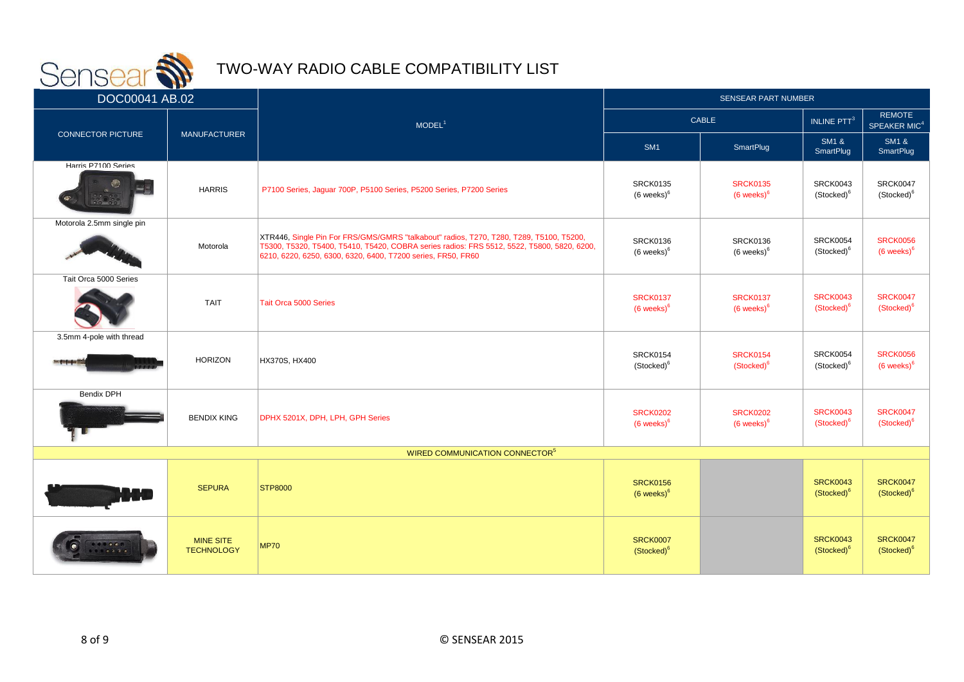

| <u>and the second second second second second second second second second second second second second second second second second second second second second second second second second second second second second second sec</u><br>DOC00041 AB.02 |                                       |                                                                                                                                                                                                                                                       | <b>SENSEAR PART NUMBER</b>                |                                           |                                           |                                           |
|--------------------------------------------------------------------------------------------------------------------------------------------------------------------------------------------------------------------------------------------------------|---------------------------------------|-------------------------------------------------------------------------------------------------------------------------------------------------------------------------------------------------------------------------------------------------------|-------------------------------------------|-------------------------------------------|-------------------------------------------|-------------------------------------------|
|                                                                                                                                                                                                                                                        |                                       | MODEL <sup>1</sup>                                                                                                                                                                                                                                    | <b>CABLE</b>                              |                                           | INLINE PTT <sup>3</sup>                   | <b>REMOTE</b><br>SPEAKER MIC <sup>4</sup> |
| <b>CONNECTOR PICTURE</b>                                                                                                                                                                                                                               | <b>MANUFACTURER</b>                   |                                                                                                                                                                                                                                                       | SM <sub>1</sub>                           | <b>SmartPlug</b>                          | <b>SM1 &amp;</b><br><b>SmartPlug</b>      | <b>SM1 &amp;</b><br>SmartPlug             |
| Harris P7100 Series                                                                                                                                                                                                                                    | <b>HARRIS</b>                         | P7100 Series, Jaguar 700P, P5100 Series, P5200 Series, P7200 Series                                                                                                                                                                                   | <b>SRCK0135</b><br>$(6 \text{ weeks})^6$  | <b>SRCK0135</b><br>$(6$ weeks) $6$        | <b>SRCK0043</b><br>(Stocked) <sup>6</sup> | <b>SRCK0047</b><br>(Stocked) <sup>6</sup> |
| Motorola 2.5mm single pin                                                                                                                                                                                                                              | Motorola                              | XTR446, Single Pin For FRS/GMS/GMRS "talkabout" radios, T270, T280, T289, T5100, T5200,<br>T5300, T5320, T5400, T5410, T5420, COBRA series radios: FRS 5512, 5522, T5800, 5820, 6200,<br>6210, 6220, 6250, 6300, 6320, 6400, T7200 series, FR50, FR60 | <b>SRCK0136</b><br>$(6 \text{ weeks})^6$  | <b>SRCK0136</b><br>$(6$ weeks) $^6$       | <b>SRCK0054</b><br>(Stocked) <sup>6</sup> | <b>SRCK0056</b><br>$(6$ weeks) $6$        |
| Tait Orca 5000 Series                                                                                                                                                                                                                                  | <b>TAIT</b>                           | Tait Orca 5000 Series                                                                                                                                                                                                                                 | <b>SRCK0137</b><br>$(6$ weeks) $6$        | <b>SRCK0137</b><br>$(6$ weeks) $6$        | <b>SRCK0043</b><br>(Stocked) <sup>6</sup> | <b>SRCK0047</b><br>(Stocked) <sup>6</sup> |
| 3.5mm 4-pole with thread<br>- 30                                                                                                                                                                                                                       | <b>HORIZON</b>                        | HX370S, HX400                                                                                                                                                                                                                                         | <b>SRCK0154</b><br>(Stocked) <sup>6</sup> | <b>SRCK0154</b><br>(Stocked) <sup>6</sup> | <b>SRCK0054</b><br>(Stocked) <sup>6</sup> | <b>SRCK0056</b><br>$(6$ weeks) $6$        |
| <b>Bendix DPH</b>                                                                                                                                                                                                                                      | <b>BENDIX KING</b>                    | DPHX 5201X, DPH, LPH, GPH Series                                                                                                                                                                                                                      | <b>SRCK0202</b><br>$(6$ weeks) $6$        | <b>SRCK0202</b><br>$(6$ weeks) $6$        | <b>SRCK0043</b><br>(Stocked) <sup>6</sup> | <b>SRCK0047</b><br>(Stocked) <sup>6</sup> |
|                                                                                                                                                                                                                                                        |                                       | WIRED COMMUNICATION CONNECTOR <sup>5</sup>                                                                                                                                                                                                            |                                           |                                           |                                           |                                           |
|                                                                                                                                                                                                                                                        | <b>SEPURA</b>                         | <b>STP8000</b>                                                                                                                                                                                                                                        | <b>SRCK0156</b><br>$(6 \text{ weeks})^6$  |                                           | <b>SRCK0043</b><br>(Stocked) <sup>6</sup> | <b>SRCK0047</b><br>(Stocked) <sup>6</sup> |
| <b>A</b>                                                                                                                                                                                                                                               | <b>MINE SITE</b><br><b>TECHNOLOGY</b> | <b>MP70</b>                                                                                                                                                                                                                                           | <b>SRCK0007</b><br>(Stocked) <sup>6</sup> |                                           | <b>SRCK0043</b><br>(Stocked) <sup>6</sup> | <b>SRCK0047</b><br>(Stocked) <sup>6</sup> |